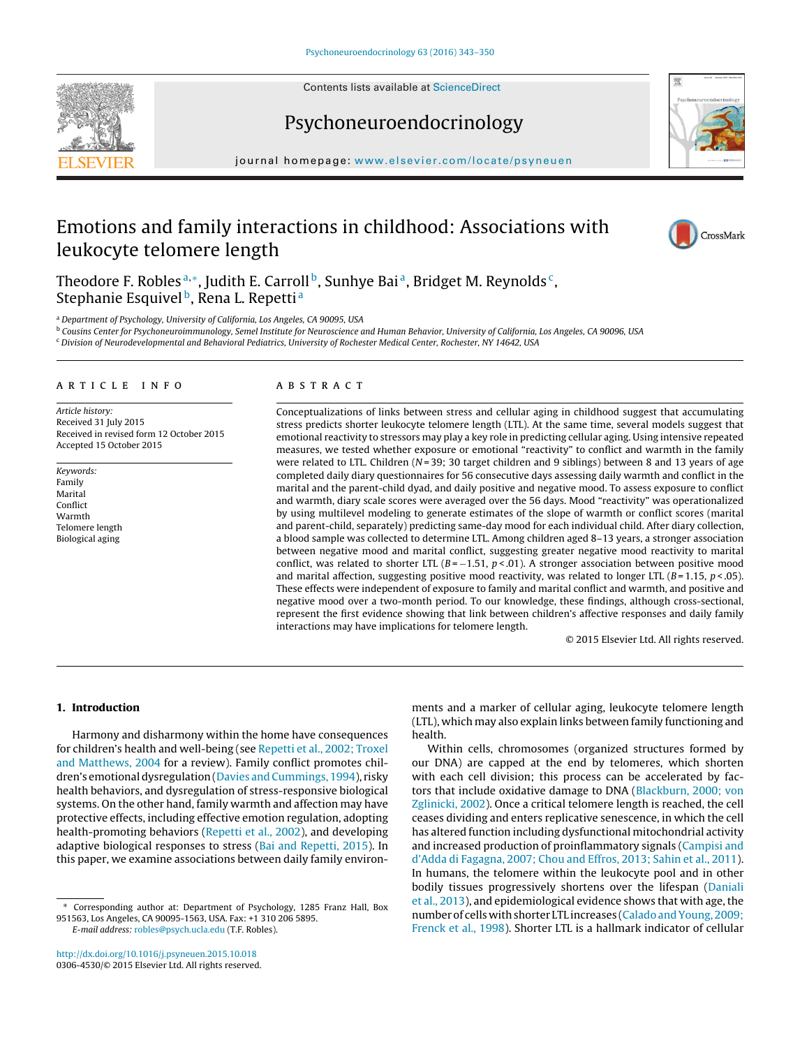Contents lists available at ScienceDirect





# Psychoneuroendocrinology

journal homepage: www.elsevier.com/locate/psyneuen

# Emotions and family interactions in childhood: Associations with leukocyte telomere length



Theodore F. Robles<sup>a,\*</sup>, Judith E. Carroll<sup>b</sup>, Sunhye Bai<sup>a</sup>, Bridget M. Reynolds<sup>c</sup>, Stephanie Esquivel<sup>b</sup>, Rena L. Repetti<sup>a</sup>

<sup>a</sup> Department of Psychology, University of California, Los Angeles, CA 90095, USA

<sup>b</sup> Cousins Center for Psychoneuroimmunology, Semel Institute for Neuroscience and Human Behavior, University of California, Los Angeles, CA 90096, USA

### ARTICLE INFO

Article history: Received 31 July 2015 Received in revised form 12 October 2015 Accepted 15 October 2015

Keywords: Family Marital Conflict Warmth Telomere length Biological aging

# **ABSTRACT**

Conceptualizations of links between stress and cellular aging in childhood suggest that accumulating stress predicts shorter leukocyte telomere length (LTL). At the same time, several models suggest that emotional reactivity to stressors may play a key role in predicting cellular aging. Using intensive repeated measures, we tested whether exposure or emotional "reactivity" to conflict and warmth in the family were related to LTL. Children ( $N = 39$ ; 30 target children and 9 siblings) between 8 and 13 years of age completed daily diary questionnaires for 56 consecutive days assessing daily warmth and conflict in the marital and the parent-child dyad, and daily positive and negative mood. To assess exposure to conflict and warmth, diary scale scores were averaged over the 56 days. Mood "reactivity" was operationalized by using multilevel modeling to generate estimates of the slope of warmth or conflict scores (marital and parent-child, separately) predicting same-day mood for each individual child. After diary collection, a blood sample was collected to determine LTL. Among children aged 8–13 years, a stronger association between negative mood and marital conflict, suggesting greater negative mood reactivity to marital conflict, was related to shorter LTL ( $B = -1.51$ ,  $p < .01$ ). A stronger association between positive mood and marital affection, suggesting positive mood reactivity, was related to longer LTL ( $B = 1.15$ ,  $p < .05$ ). These effects were independent of exposure to family and marital conflict and warmth, and positive and negative mood over a two-month period. To our knowledge, these findings, although cross-sectional, represent the first evidence showing that link between children's affective responses and daily family interactions may have implications for telomere length.

© 2015 Elsevier Ltd. All rights reserved.

# **1. Introduction**

Harmony and disharmony within the home have consequences for children's health and well-being (see Repetti et al., 2002; Troxel and Matthews, 2004 for a review). Family conflict promotes children's emotional dysregulation (Davies and Cummings, 1994), risky health behaviors, and dysregulation of stress-responsive biological systems. On the other hand, family warmth and affection may have protective effects, including effective emotion regulation, adopting health-promoting behaviors (Repetti et al., 2002), and developing adaptive biological responses to stress (Bai and Repetti, 2015). In this paper, we examine associations between daily family environ-

E-mail address: robles@psych.ucla.edu (T.F. Robles).

ments and a marker of cellular aging, leukocyte telomere length (LTL), which may also explain links between family functioning and health.

Within cells, chromosomes (organized structures formed by our DNA) are capped at the end by telomeres, which shorten with each cell division; this process can be accelerated by factors that include oxidative damage to DNA (Blackburn, 2000; von Zglinicki, 2002). Once a critical telomere length is reached, the cell ceases dividing and enters replicative senescence, in which the cell has altered function including dysfunctional mitochondrial activity and increased production of proinflammatory signals (Campisi and d'Adda di Fagagna, 2007; Chou and Effros, 2013; Sahin et al., 2011). In humans, the telomere within the leukocyte pool and in other bodily tissues progressively shortens over the lifespan (Daniali et al., 2013), and epidemiological evidence shows that with age, the number of cells with shorter LTL increases (Calado and Young, 2009; Frenck et al., 1998). Shorter LTL is a hallmark indicator of cellular

<sup>c</sup> Division of Neurodevelopmental and Behavioral Pediatrics, University of Rochester Medical Center, Rochester, NY 14642, USA

<sup>∗</sup> Corresponding author at: Department of Psychology, 1285 Franz Hall, Box 951563, Los Angeles, CA 90095-1563, USA. Fax: +1 310 206 5895.

http://dx.doi.org/10.1016/j.psyneuen.2015.10.018 0306-4530/© 2015 Elsevier Ltd. All rights reserved.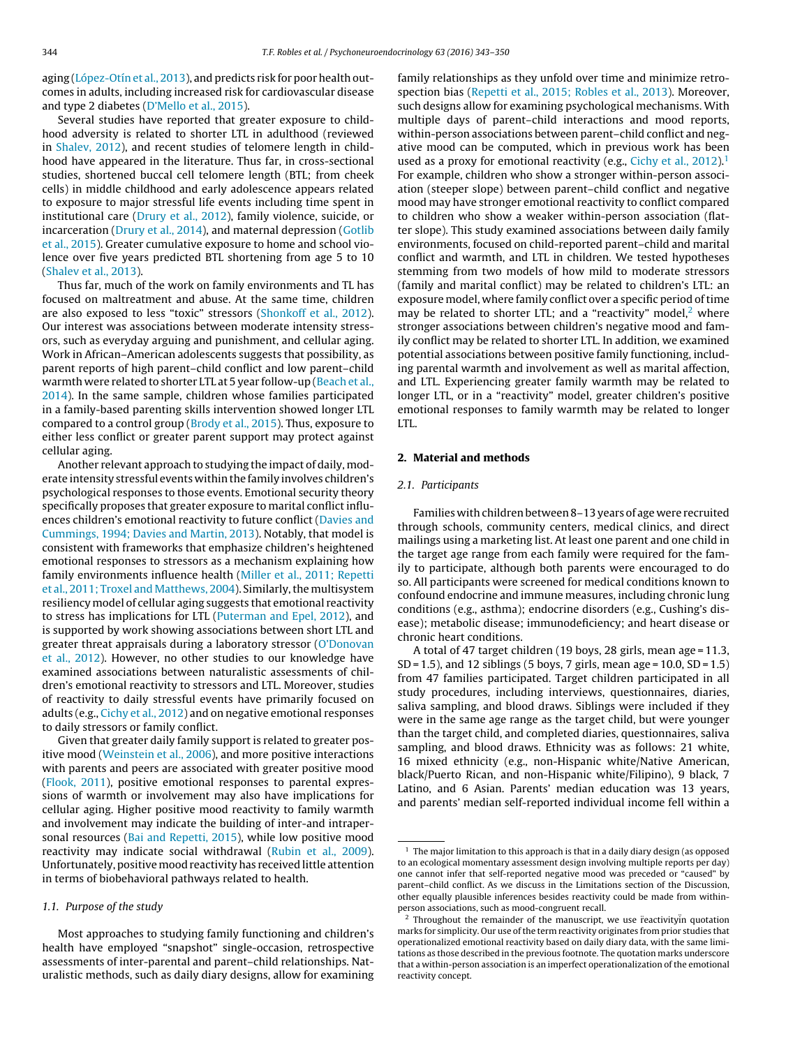aging (López-Otín et al., 2013), and predicts risk for poor health outcomes in adults, including increased risk for cardiovascular disease and type 2 diabetes (D'Mello et al., 2015).

Several studies have reported that greater exposure to childhood adversity is related to shorter LTL in adulthood (reviewed in Shalev, 2012), and recent studies of telomere length in childhood have appeared in the literature. Thus far, in cross-sectional studies, shortened buccal cell telomere length (BTL; from cheek cells) in middle childhood and early adolescence appears related to exposure to major stressful life events including time spent in institutional care (Drury et al., 2012), family violence, suicide, or incarceration (Drury et al., 2014), and maternal depression (Gotlib et al., 2015). Greater cumulative exposure to home and school violence over five years predicted BTL shortening from age 5 to 10 (Shalev et al., 2013).

Thus far, much of the work on family environments and TL has focused on maltreatment and abuse. At the same time, children are also exposed to less "toxic" stressors (Shonkoff et al., 2012). Our interest was associations between moderate intensity stressors, such as everyday arguing and punishment, and cellular aging. Work in African–American adolescents suggests that possibility, as parent reports of high parent–child conflict and low parent–child warmth were related to shorter LTL at 5 year follow-up (Beach et al., 2014). In the same sample, children whose families participated in a family-based parenting skills intervention showed longer LTL compared to a control group (Brody et al., 2015). Thus, exposure to either less conflict or greater parent support may protect against cellular aging.

Another relevant approach to studying the impact of daily, moderate intensity stressful events within the family involves children's psychological responses to those events. Emotional security theory specifically proposes that greater exposure to marital conflict influences children's emotional reactivity to future conflict (Davies and Cummings, 1994; Davies and Martin, 2013). Notably, that model is consistent with frameworks that emphasize children's heightened emotional responses to stressors as a mechanism explaining how family environments influence health (Miller et al., 2011; Repetti et al., 2011; Troxel and Matthews, 2004). Similarly, the multisystem resiliency model of cellular aging suggests that emotional reactivity to stress has implications for LTL (Puterman and Epel, 2012), and is supported by work showing associations between short LTL and greater threat appraisals during a laboratory stressor (O'Donovan et al., 2012). However, no other studies to our knowledge have examined associations between naturalistic assessments of children's emotional reactivity to stressors and LTL. Moreover, studies of reactivity to daily stressful events have primarily focused on adults (e.g., Cichy et al., 2012) and on negative emotional responses to daily stressors or family conflict.

Given that greater daily family support is related to greater positive mood (Weinstein et al., 2006), and more positive interactions with parents and peers are associated with greater positive mood (Flook, 2011), positive emotional responses to parental expressions of warmth or involvement may also have implications for cellular aging. Higher positive mood reactivity to family warmth and involvement may indicate the building of inter-and intrapersonal resources (Bai and Repetti, 2015), while low positive mood reactivity may indicate social withdrawal (Rubin et al., 2009). Unfortunately, positive mood reactivity has received little attention in terms of biobehavioral pathways related to health.

# 1.1. Purpose of the study

Most approaches to studying family functioning and children's health have employed "snapshot" single-occasion, retrospective assessments of inter-parental and parent–child relationships. Naturalistic methods, such as daily diary designs, allow for examining family relationships as they unfold over time and minimize retrospection bias (Repetti et al., 2015; Robles et al., 2013). Moreover, such designs allow for examining psychological mechanisms. With multiple days of parent–child interactions and mood reports, within-person associations between parent–child conflict and negative mood can be computed, which in previous work has been used as a proxy for emotional reactivity (e.g., Cichy et al.,  $2012$ ).<sup>1</sup> For example, children who show a stronger within-person association (steeper slope) between parent–child conflict and negative mood may have stronger emotional reactivity to conflict compared to children who show a weaker within-person association (flatter slope). This study examined associations between daily family environments, focused on child-reported parent–child and marital conflict and warmth, and LTL in children. We tested hypotheses stemming from two models of how mild to moderate stressors (family and marital conflict) may be related to children's LTL: an exposure model, where family conflict over a specific period of time may be related to shorter LTL; and a "reactivity" model, $<sup>2</sup>$  where</sup> stronger associations between children's negative mood and family conflict may be related to shorter LTL. In addition, we examined potential associations between positive family functioning, including parental warmth and involvement as well as marital affection, and LTL. Experiencing greater family warmth may be related to longer LTL, or in a "reactivity" model, greater children's positive emotional responses to family warmth may be related to longer LTL.

# **2. Material and methods**

#### 2.1. Participants

Families with children between 8–13 years of age were recruited through schools, community centers, medical clinics, and direct mailings using a marketing list. At least one parent and one child in the target age range from each family were required for the family to participate, although both parents were encouraged to do so. All participants were screened for medical conditions known to confound endocrine and immune measures, including chronic lung conditions (e.g., asthma); endocrine disorders (e.g., Cushing's disease); metabolic disease; immunodeficiency; and heart disease or chronic heart conditions.

A total of 47 target children (19 boys, 28 girls, mean age = 11.3, SD = 1.5), and 12 siblings (5 boys, 7 girls, mean age = 10.0, SD = 1.5) from 47 families participated. Target children participated in all study procedures, including interviews, questionnaires, diaries, saliva sampling, and blood draws. Siblings were included if they were in the same age range as the target child, but were younger than the target child, and completed diaries, questionnaires, saliva sampling, and blood draws. Ethnicity was as follows: 21 white, 16 mixed ethnicity (e.g., non-Hispanic white/Native American, black/Puerto Rican, and non-Hispanic white/Filipino), 9 black, 7 Latino, and 6 Asian. Parents' median education was 13 years, and parents' median self-reported individual income fell within a

 $1$  The major limitation to this approach is that in a daily diary design (as opposed to an ecological momentary assessment design involving multiple reports per day) one cannot infer that self-reported negative mood was preceded or "caused" by parent–child conflict. As we discuss in the Limitations section of the Discussion, other equally plausible inferences besides reactivity could be made from withinperson associations, such as mood-congruent recall.

 $2$  Throughout the remainder of the manuscript, we use reactivity in quotation marks for simplicity. Our use of the term reactivity originates from prior studies that operationalized emotional reactivity based on daily diary data, with the same limitations as those described in the previous footnote. The quotation marks underscore that a within-person association is an imperfect operationalization of the emotional reactivity concept.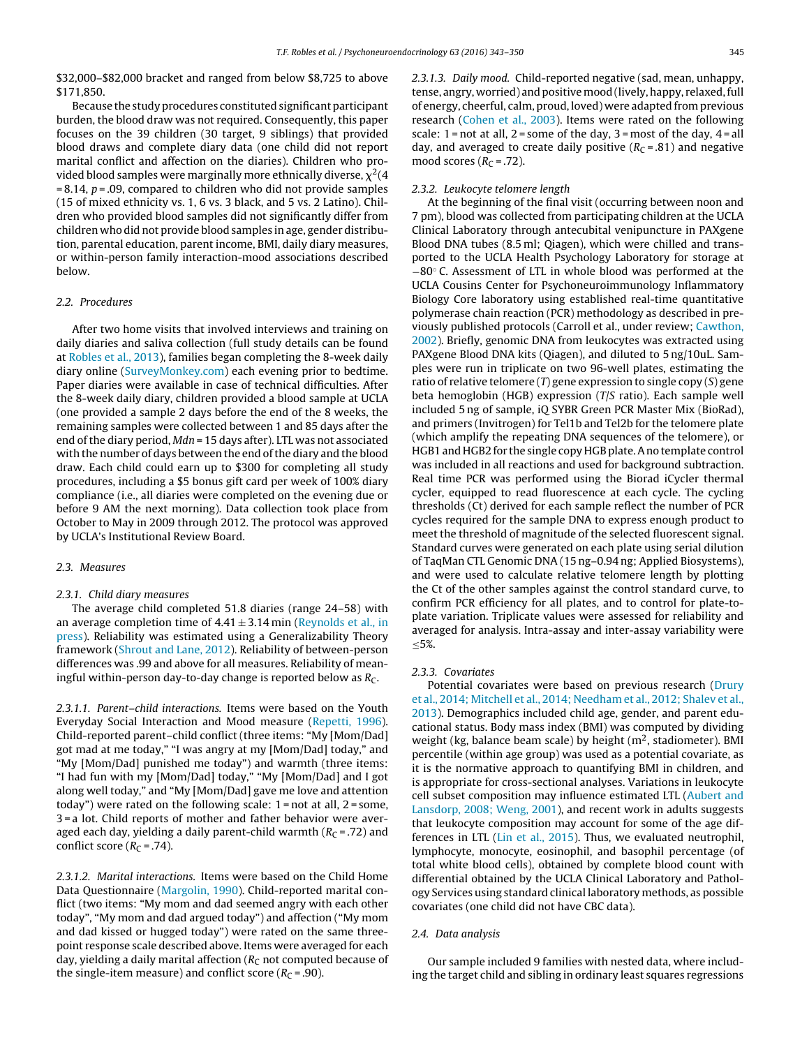\$32,000–\$82,000 bracket and ranged from below \$8,725 to above \$171,850.

Because the study procedures constituted significant participant burden, the blood draw was not required. Consequently, this paper focuses on the 39 children (30 target, 9 siblings) that provided blood draws and complete diary data (one child did not report marital conflict and affection on the diaries). Children who provided blood samples were marginally more ethnically diverse,  $\chi^2(4)$  $= 8.14$ ,  $p = .09$ , compared to children who did not provide samples (15 of mixed ethnicity vs. 1, 6 vs. 3 black, and 5 vs. 2 Latino). Children who provided blood samples did not significantly differ from children who did not provide blood samples in age, gender distribution, parental education, parent income, BMI, daily diary measures, or within-person family interaction-mood associations described below.

# 2.2. Procedures

After two home visits that involved interviews and training on daily diaries and saliva collection (full study details can be found at Robles et al., 2013), families began completing the 8-week daily diary online (SurveyMonkey.com) each evening prior to bedtime. Paper diaries were available in case of technical difficulties. After the 8-week daily diary, children provided a blood sample at UCLA (one provided a sample 2 days before the end of the 8 weeks, the remaining samples were collected between 1 and 85 days after the end of the diary period, Mdn = 15 days after). LTL was not associated with the number of days between the end of the diary and the blood draw. Each child could earn up to \$300 for completing all study procedures, including a \$5 bonus gift card per week of 100% diary compliance (i.e., all diaries were completed on the evening due or before 9 AM the next morning). Data collection took place from October to May in 2009 through 2012. The protocol was approved by UCLA's Institutional Review Board.

#### 2.3. Measures

# 2.3.1. Child diary measures

The average child completed 51.8 diaries (range 24–58) with an average completion time of  $4.41 \pm 3.14$  min (Reynolds et al., in press). Reliability was estimated using a Generalizability Theory framework (Shrout and Lane, 2012). Reliability of between-person differences was .99 and above for all measures. Reliability of meaningful within-person day-to-day change is reported below as  $R_C$ .

2.3.1.1. Parent–child interactions. Items were based on the Youth Everyday Social Interaction and Mood measure (Repetti, 1996). Child-reported parent–child conflict (three items: "My [Mom/Dad] got mad at me today," "I was angry at my [Mom/Dad] today," and "My [Mom/Dad] punished me today") and warmth (three items: "I had fun with my [Mom/Dad] today," "My [Mom/Dad] and I got along well today," and "My [Mom/Dad] gave me love and attention today") were rated on the following scale: 1 = not at all, 2 = some, 3 = a lot. Child reports of mother and father behavior were averaged each day, yielding a daily parent-child warmth  $(R<sub>C</sub> = .72)$  and conflict score  $(R<sub>C</sub> = .74)$ .

2.3.1.2. Marital interactions. Items were based on the Child Home Data Questionnaire (Margolin, 1990). Child-reported marital conflict (two items: "My mom and dad seemed angry with each other today", "My mom and dad argued today") and affection ("My mom and dad kissed or hugged today") were rated on the same threepoint response scale described above. Items were averaged for each day, yielding a daily marital affection ( $R<sub>C</sub>$  not computed because of the single-item measure) and conflict score ( $R_C$  = .90).

2.3.1.3. Daily mood. Child-reported negative (sad, mean, unhappy, tense, angry, worried) and positive mood (lively, happy, relaxed, full of energy, cheerful, calm, proud, loved) were adapted from previous research (Cohen et al., 2003). Items were rated on the following scale:  $1 = not$  at all,  $2 = some$  of the day,  $3 = most$  of the day,  $4 = all$ day, and averaged to create daily positive  $(R<sub>C</sub> = .81)$  and negative mood scores ( $R_C = .72$ ).

# 2.3.2. Leukocyte telomere length

At the beginning of the final visit (occurring between noon and 7 pm), blood was collected from participating children at the UCLA Clinical Laboratory through antecubital venipuncture in PAXgene Blood DNA tubes (8.5 ml; Qiagen), which were chilled and transported to the UCLA Health Psychology Laboratory for storage at −80◦ C. Assessment of LTL in whole blood was performed at the UCLA Cousins Center for Psychoneuroimmunology Inflammatory Biology Core laboratory using established real-time quantitative polymerase chain reaction (PCR) methodology as described in previously published protocols (Carroll et al., under review; Cawthon, 2002). Briefly, genomic DNA from leukocytes was extracted using PAXgene Blood DNA kits (Qiagen), and diluted to 5 ng/10uL. Samples were run in triplicate on two 96-well plates, estimating the ratio of relative telomere  $(T)$  gene expression to single copy  $(S)$  gene beta hemoglobin (HGB) expression (T/S ratio). Each sample well included 5 ng of sample, iQ SYBR Green PCR Master Mix (BioRad), and primers (Invitrogen) for Tel1b and Tel2b for the telomere plate (which amplify the repeating DNA sequences of the telomere), or HGB1 and HGB2 for the single copy HGB plate. A no template control was included in all reactions and used for background subtraction. Real time PCR was performed using the Biorad iCycler thermal cycler, equipped to read fluorescence at each cycle. The cycling thresholds (Ct) derived for each sample reflect the number of PCR cycles required for the sample DNA to express enough product to meet the threshold of magnitude of the selected fluorescent signal. Standard curves were generated on each plate using serial dilution of TaqMan CTL Genomic DNA (15 ng–0.94 ng; Applied Biosystems), and were used to calculate relative telomere length by plotting the Ct of the other samples against the control standard curve, to confirm PCR efficiency for all plates, and to control for plate-toplate variation. Triplicate values were assessed for reliability and averaged for analysis. Intra-assay and inter-assay variability were ≤5%.

#### 2.3.3. Covariates

Potential covariates were based on previous research (Drury et al., 2014; Mitchell et al., 2014; Needham et al., 2012; Shalev et al., 2013). Demographics included child age, gender, and parent educational status. Body mass index (BMI) was computed by dividing weight (kg, balance beam scale) by height  $(m^2,$  stadiometer). BMI percentile (within age group) was used as a potential covariate, as it is the normative approach to quantifying BMI in children, and is appropriate for cross-sectional analyses. Variations in leukocyte cell subset composition may influence estimated LTL (Aubert and Lansdorp, 2008; Weng, 2001), and recent work in adults suggests that leukocyte composition may account for some of the age differences in LTL (Lin et al., 2015). Thus, we evaluated neutrophil, lymphocyte, monocyte, eosinophil, and basophil percentage (of total white blood cells), obtained by complete blood count with differential obtained by the UCLA Clinical Laboratory and Pathology Services using standard clinical laboratory methods, as possible covariates (one child did not have CBC data).

# 2.4. Data analysis

Our sample included 9 families with nested data, where including the target child and sibling in ordinary least squares regressions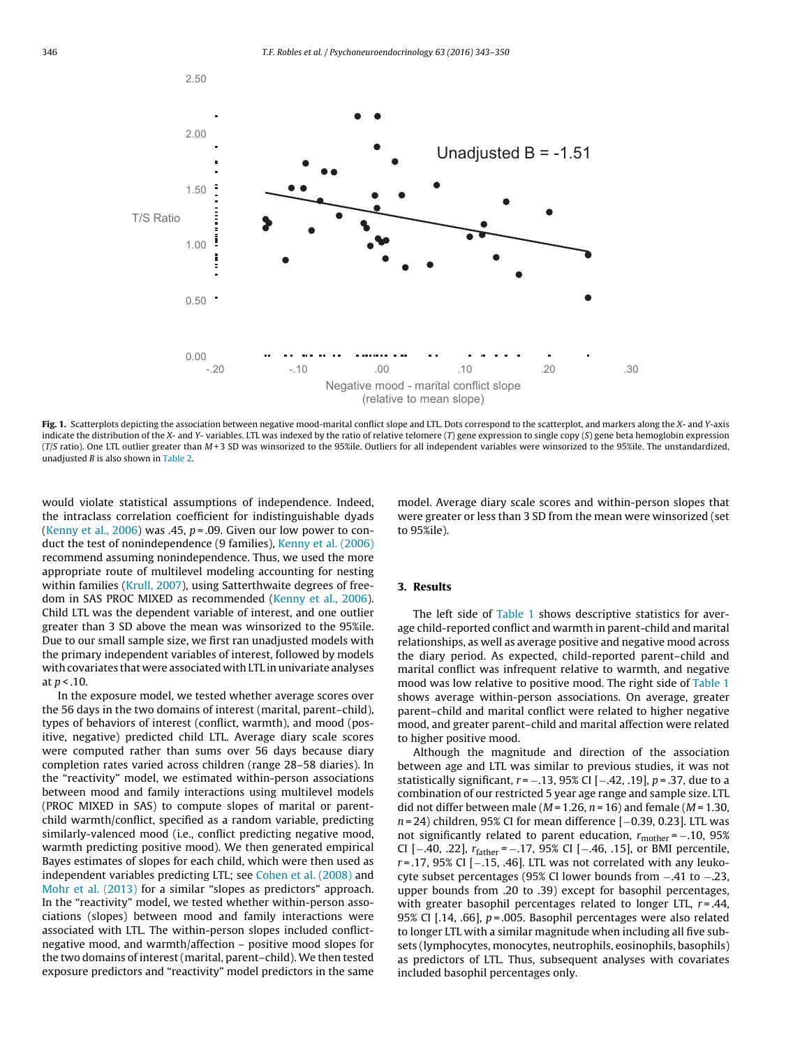

Fig. 1. Scatterplots depicting the association between negative mood-marital conflict slope and LTL. Dots correspond to the scatterplot, and markers along the X- and Y-axis indicate the distribution of the X- and Y- variables. LTL was indexed by the ratio of relative telomere (T) gene expression to single copy (S) gene beta hemoglobin expression  $(T/S$  ratio). One LTL outlier greater than  $M+3$  SD was winsorized to the 95%ile. Outliers for all independent variables were winsorized to the 95%ile. The unstandardized, unadiusted  $B$  is also shown in Table 2.

would violate statistical assumptions of independence. Indeed, the intraclass correlation coefficient for indistinguishable dyads (Kenny et al., 2006) was .45,  $p = .09$ . Given our low power to conduct the test of nonindependence (9 families), Kenny et al. (2006) recommend assuming nonindependence. Thus, we used the more appropriate route of multilevel modeling accounting for nesting within families (Krull, 2007), using Satterthwaite degrees of freedom in SAS PROC MIXED as recommended (Kenny et al., 2006). Child LTL was the dependent variable of interest, and one outlier greater than 3 SD above the mean was winsorized to the 95%ile. Due to our small sample size, we first ran unadjusted models with the primary independent variables of interest, followed by models with covariates that were associated with LTL in univariate analyses at  $p < .10$ .

In the exposure model, we tested whether average scores over the 56 days in the two domains of interest (marital, parent–child), types of behaviors of interest (conflict, warmth), and mood (positive, negative) predicted child LTL. Average diary scale scores were computed rather than sums over 56 days because diary completion rates varied across children (range 28–58 diaries). In the "reactivity" model, we estimated within-person associations between mood and family interactions using multilevel models (PROC MIXED in SAS) to compute slopes of marital or parentchild warmth/conflict, specified as a random variable, predicting similarly-valenced mood (i.e., conflict predicting negative mood, warmth predicting positive mood). We then generated empirical Bayes estimates of slopes for each child, which were then used as independent variables predicting LTL; see Cohen et al. (2008) and Mohr et al. (2013) for a similar "slopes as predictors" approach. In the "reactivity" model, we tested whether within-person associations (slopes) between mood and family interactions were associated with LTL. The within-person slopes included conflictnegative mood, and warmth/affection – positive mood slopes for the two domains of interest (marital, parent–child). We then tested exposure predictors and "reactivity" model predictors in the same

model. Average diary scale scores and within-person slopes that were greater or less than 3 SD from the mean were winsorized (set to 95%ile).

# **3. Results**

The left side of Table 1 shows descriptive statistics for average child-reported conflict and warmth in parent-child and marital relationships, as well as average positive and negative mood across the diary period. As expected, child-reported parent–child and marital conflict was infrequent relative to warmth, and negative mood was low relative to positive mood. The right side of Table 1 shows average within-person associations. On average, greater parent–child and marital conflict were related to higher negative mood, and greater parent–child and marital affection were related to higher positive mood.

Although the magnitude and direction of the association between age and LTL was similar to previous studies, it was not statistically significant,  $r = -.13, 95\%$  CI [ $-.42, .19$ ],  $p = .37$ , due to a combination of our restricted 5 year age range and sample size. LTL did not differ between male ( $M = 1.26$ ,  $n = 16$ ) and female ( $M = 1.30$ , n = 24) children, 95% CI for mean difference [-0.39, 0.23]. LTL was not significantly related to parent education,  $r_{\text{mother}} = -.10, 95\%$ CI [-.40, .22],  $r_{\text{father}}$  = -.17, 95% CI [-.46, .15], or BMI percentile, r = .17, 95% CI [−.15, .46]. LTL was not correlated with any leukocyte subset percentages (95% CI lower bounds from −.41 to −.23, upper bounds from .20 to .39) except for basophil percentages, with greater basophil percentages related to longer LTL,  $r = .44$ , 95% CI [.14, .66],  $p = 0.005$ . Basophil percentages were also related to longer LTL with a similar magnitude when including all five subsets (lymphocytes, monocytes, neutrophils, eosinophils, basophils) as predictors of LTL. Thus, subsequent analyses with covariates included basophil percentages only.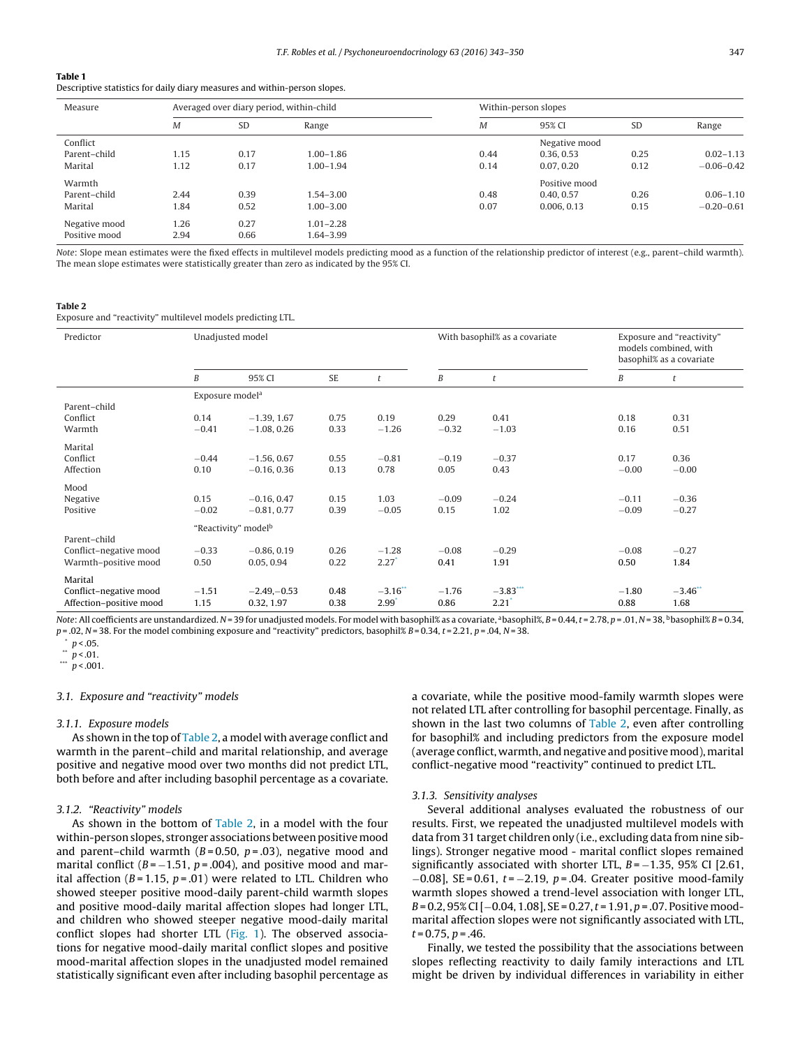#### **Table 1**

Descriptive statistics for daily diary measures and within-person slopes.

| Measure       |      | Averaged over diary period, within-child |               | Within-person slopes |               |           |                |
|---------------|------|------------------------------------------|---------------|----------------------|---------------|-----------|----------------|
|               | M    | <b>SD</b>                                | Range         | M                    | 95% CI        | <b>SD</b> | Range          |
| Conflict      |      |                                          |               |                      | Negative mood |           |                |
| Parent-child  | 1.15 | 0.17                                     | $1.00 - 1.86$ | 0.44                 | 0.36, 0.53    | 0.25      | $0.02 - 1.13$  |
| Marital       | 1.12 | 0.17                                     | $1.00 - 1.94$ | 0.14                 | 0.07, 0.20    | 0.12      | $-0.06 - 0.42$ |
| Warmth        |      |                                          |               |                      | Positive mood |           |                |
| Parent-child  | 2.44 | 0.39                                     | $1.54 - 3.00$ | 0.48                 | 0.40, 0.57    | 0.26      | $0.06 - 1.10$  |
| Marital       | 1.84 | 0.52                                     | $1.00 - 3.00$ | 0.07                 | 0.006, 0.13   | 0.15      | $-0.20 - 0.61$ |
| Negative mood | 1.26 | 0.27                                     | $1.01 - 2.28$ |                      |               |           |                |
| Positive mood | 2.94 | 0.66                                     | 1.64-3.99     |                      |               |           |                |

Note: Slope mean estimates were the fixed effects in multilevel models predicting mood as a function of the relationship predictor of interest (e.g., parent–child warmth). The mean slope estimates were statistically greater than zero as indicated by the 95% CI.

#### **Table 2**

Exposure and "reactivity" multilevel models predicting LTL.

| Predictor                                                      | Unadjusted model                |                                |              |                                | With basophil% as a covariate |                     | Exposure and "reactivity"<br>models combined, with<br>basophil% as a covariate |                    |  |  |  |
|----------------------------------------------------------------|---------------------------------|--------------------------------|--------------|--------------------------------|-------------------------------|---------------------|--------------------------------------------------------------------------------|--------------------|--|--|--|
|                                                                | B                               | 95% CI                         | SE           | t                              | B                             | t                   | B                                                                              | t                  |  |  |  |
|                                                                | Exposure model <sup>a</sup>     |                                |              |                                |                               |                     |                                                                                |                    |  |  |  |
| Parent-child<br>Conflict<br>Warmth                             | 0.14<br>$-0.41$                 | $-1.39, 1.67$<br>$-1.08, 0.26$ | 0.75<br>0.33 | 0.19<br>$-1.26$                | 0.29<br>$-0.32$               | 0.41<br>$-1.03$     | 0.18<br>0.16                                                                   | 0.31<br>0.51       |  |  |  |
| Marital<br>Conflict<br>Affection                               | $-0.44$<br>0.10                 | $-1.56, 0.67$<br>$-0.16, 0.36$ | 0.55<br>0.13 | $-0.81$<br>0.78                | $-0.19$<br>0.05               | $-0.37$<br>0.43     | 0.17<br>$-0.00$                                                                | 0.36<br>$-0.00$    |  |  |  |
| Mood<br>Negative<br>Positive                                   | 0.15<br>$-0.02$                 | $-0.16, 0.47$<br>$-0.81, 0.77$ | 0.15<br>0.39 | 1.03<br>$-0.05$                | $-0.09$<br>0.15               | $-0.24$<br>1.02     | $-0.11$<br>$-0.09$                                                             | $-0.36$<br>$-0.27$ |  |  |  |
|                                                                | "Reactivity" model <sup>b</sup> |                                |              |                                |                               |                     |                                                                                |                    |  |  |  |
| Parent-child<br>Conflict-negative mood<br>Warmth-positive mood | $-0.33$<br>0.50                 | $-0.86, 0.19$<br>0.05, 0.94    | 0.26<br>0.22 | $-1.28$<br>$2.27$ <sup>*</sup> | $-0.08$<br>0.41               | $-0.29$<br>1.91     | $-0.08$<br>0.50                                                                | $-0.27$<br>1.84    |  |  |  |
| Marital<br>Conflict-negative mood<br>Affection-positive mood   | $-1.51$<br>1.15                 | $-2.49 - 0.53$<br>0.32, 1.97   | 0.48<br>0.38 | $-3.16$ **<br>$2.99*$          | $-1.76$<br>0.86               | $-3.83***$<br>2.21' | $-1.80$<br>0.88                                                                | $-3.46$<br>1.68    |  |  |  |

Note: All coefficients are unstandardized. N = 39 for unadjusted models. For model with basophil% as a covariate, <sup>a</sup>basophil%, B = 0.44, t = 2.78, p = .01, N = 38, <sup>b</sup>basophil% B = 0.34,  $p = 0.02$ ,  $N = 38$ . For the model combining exposure and "reactivity" predictors, basophil%  $B = 0.34$ ,  $t = 2.21$ ,  $p = 0.04$ ,  $N = 38$ .

 $p < 05$ .

 $p < 01$ .

\*\*\*  $p < .001$ .

### 3.1. Exposure and "reactivity" models

#### 3.1.1. Exposure models

As shown in the top of Table 2, a model with average conflict and warmth in the parent–child and marital relationship, and average positive and negative mood over two months did not predict LTL, both before and after including basophil percentage as a covariate.

# 3.1.2. "Reactivity" models

As shown in the bottom of Table 2, in a model with the four within-person slopes, stronger associations between positive mood and parent–child warmth ( $B = 0.50$ ,  $p = .03$ ), negative mood and marital conflict ( $B = -1.51$ ,  $p = .004$ ), and positive mood and marital affection ( $B = 1.15$ ,  $p = .01$ ) were related to LTL. Children who showed steeper positive mood-daily parent-child warmth slopes and positive mood-daily marital affection slopes had longer LTL, and children who showed steeper negative mood-daily marital conflict slopes had shorter LTL (Fig. 1). The observed associations for negative mood-daily marital conflict slopes and positive mood-marital affection slopes in the unadjusted model remained statistically significant even after including basophil percentage as a covariate, while the positive mood-family warmth slopes were not related LTL after controlling for basophil percentage. Finally, as shown in the last two columns of Table 2, even after controlling for basophil% and including predictors from the exposure model (average conflict, warmth, and negative and positivemood),marital conflict-negative mood "reactivity" continued to predict LTL.

#### 3.1.3. Sensitivity analyses

Several additional analyses evaluated the robustness of our results. First, we repeated the unadjusted multilevel models with data from 31 target children only (i.e., excluding data from nine siblings). Stronger negative mood - marital conflict slopes remained significantly associated with shorter LTL,  $B = -1.35$ , 95% CI [2.61,  $-0.08$ ], SE = 0.61, t =  $-2.19$ , p = .04. Greater positive mood-family warmth slopes showed a trend-level association with longer LTL, B = 0.2, 95% CI [-0.04, 1.08], SE = 0.27, t = 1.91, p = .07. Positive moodmarital affection slopes were not significantly associated with LTL,  $t = 0.75$ ,  $p = .46$ .

Finally, we tested the possibility that the associations between slopes reflecting reactivity to daily family interactions and LTL might be driven by individual differences in variability in either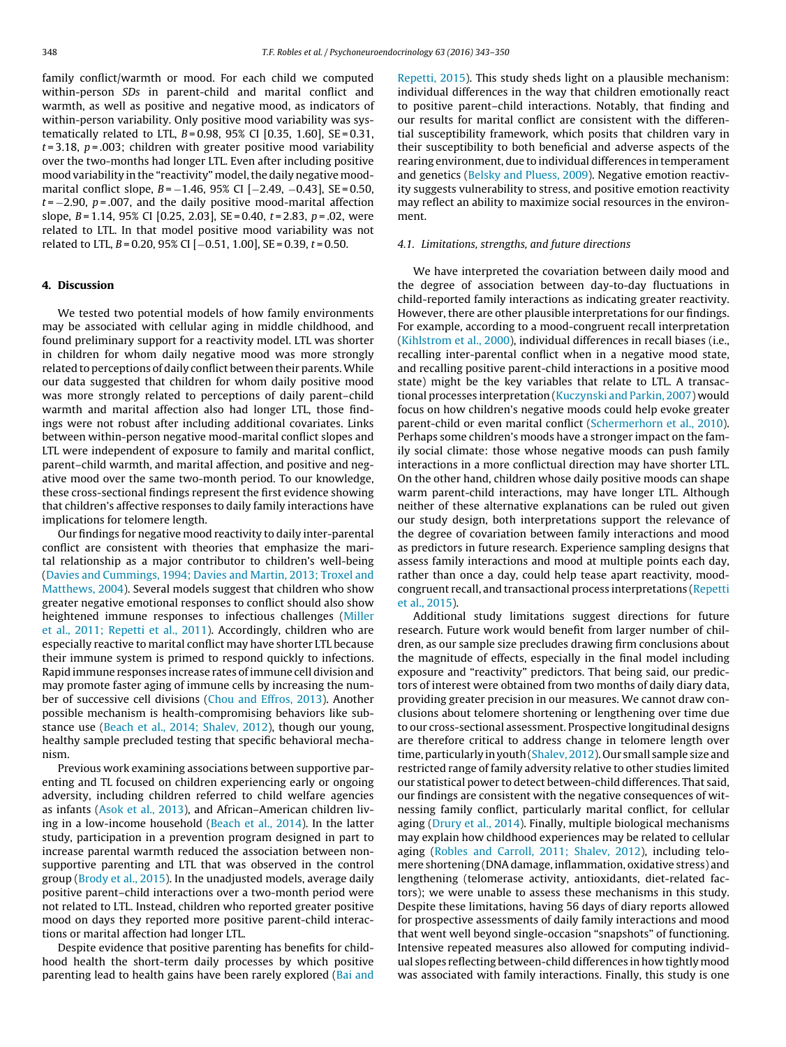family conflict/warmth or mood. For each child we computed within-person SDs in parent-child and marital conflict and warmth, as well as positive and negative mood, as indicators of within-person variability. Only positive mood variability was systematically related to LTL,  $B = 0.98$ , 95% CI [0.35, 1.60], SE = 0.31,  $t = 3.18$ ,  $p = .003$ ; children with greater positive mood variability over the two-months had longer LTL. Even after including positive mood variability in the "reactivity" model, the daily negative moodmarital conflict slope,  $B = -1.46$ , 95% CI  $[-2.49, -0.43]$ , SE = 0.50,  $t = -2.90$ ,  $p = .007$ , and the daily positive mood-marital affection slope,  $B = 1.14$ , 95% CI [0.25, 2.03], SE = 0.40,  $t = 2.83$ ,  $p = .02$ , were related to LTL. In that model positive mood variability was not related to LTL,  $B = 0.20$ , 95% CI [−0.51, 1.00], SE = 0.39, t = 0.50.

# **4. Discussion**

We tested two potential models of how family environments may be associated with cellular aging in middle childhood, and found preliminary support for a reactivity model. LTL was shorter in children for whom daily negative mood was more strongly related to perceptions of daily conflict between their parents.While our data suggested that children for whom daily positive mood was more strongly related to perceptions of daily parent–child warmth and marital affection also had longer LTL, those findings were not robust after including additional covariates. Links between within-person negative mood-marital conflict slopes and LTL were independent of exposure to family and marital conflict, parent–child warmth, and marital affection, and positive and negative mood over the same two-month period. To our knowledge, these cross-sectional findings represent the first evidence showing that children's affective responses to daily family interactions have implications for telomere length.

Our findings for negative mood reactivity to daily inter-parental conflict are consistent with theories that emphasize the marital relationship as a major contributor to children's well-being (Davies and Cummings, 1994; Davies and Martin, 2013; Troxel and Matthews, 2004). Several models suggest that children who show greater negative emotional responses to conflict should also show heightened immune responses to infectious challenges (Miller et al., 2011; Repetti et al., 2011). Accordingly, children who are especially reactive to marital conflict may have shorter LTL because their immune system is primed to respond quickly to infections. Rapid immune responses increase rates of immune cell division and may promote faster aging of immune cells by increasing the number of successive cell divisions (Chou and Effros, 2013). Another possible mechanism is health-compromising behaviors like substance use (Beach et al., 2014; Shalev, 2012), though our young, healthy sample precluded testing that specific behavioral mechanism.

Previous work examining associations between supportive parenting and TL focused on children experiencing early or ongoing adversity, including children referred to child welfare agencies as infants (Asok et al., 2013), and African–American children living in a low-income household (Beach et al., 2014). In the latter study, participation in a prevention program designed in part to increase parental warmth reduced the association between nonsupportive parenting and LTL that was observed in the control group (Brody et al., 2015). In the unadjusted models, average daily positive parent–child interactions over a two-month period were not related to LTL. Instead, children who reported greater positive mood on days they reported more positive parent-child interactions or marital affection had longer LTL.

Despite evidence that positive parenting has benefits for childhood health the short-term daily processes by which positive parenting lead to health gains have been rarely explored (Bai and

Repetti, 2015). This study sheds light on a plausible mechanism: individual differences in the way that children emotionally react to positive parent–child interactions. Notably, that finding and our results for marital conflict are consistent with the differential susceptibility framework, which posits that children vary in their susceptibility to both beneficial and adverse aspects of the rearing environment, due to individual differences in temperament and genetics (Belsky and Pluess, 2009). Negative emotion reactivity suggests vulnerability to stress, and positive emotion reactivity may reflect an ability to maximize social resources in the environment.

### 4.1. Limitations, strengths, and future directions

We have interpreted the covariation between daily mood and the degree of association between day-to-day fluctuations in child-reported family interactions as indicating greater reactivity. However, there are other plausible interpretations for our findings. For example, according to a mood-congruent recall interpretation (Kihlstrom et al., 2000), individual differences in recall biases (i.e., recalling inter-parental conflict when in a negative mood state, and recalling positive parent-child interactions in a positive mood state) might be the key variables that relate to LTL. A transactional processes interpretation (Kuczynski and Parkin, 2007) would focus on how children's negative moods could help evoke greater parent-child or even marital conflict (Schermerhorn et al., 2010). Perhaps some children's moods have a stronger impact on the family social climate: those whose negative moods can push family interactions in a more conflictual direction may have shorter LTL. On the other hand, children whose daily positive moods can shape warm parent-child interactions, may have longer LTL. Although neither of these alternative explanations can be ruled out given our study design, both interpretations support the relevance of the degree of covariation between family interactions and mood as predictors in future research. Experience sampling designs that assess family interactions and mood at multiple points each day, rather than once a day, could help tease apart reactivity, moodcongruent recall, and transactional process interpretations (Repetti et al., 2015).

Additional study limitations suggest directions for future research. Future work would benefit from larger number of children, as our sample size precludes drawing firm conclusions about the magnitude of effects, especially in the final model including exposure and "reactivity" predictors. That being said, our predictors of interest were obtained from two months of daily diary data, providing greater precision in our measures. We cannot draw conclusions about telomere shortening or lengthening over time due to our cross-sectional assessment. Prospective longitudinal designs are therefore critical to address change in telomere length over time, particularly in youth (Shalev, 2012). Our small sample size and restricted range of family adversity relative to other studies limited our statistical power to detect between-child differences. That said, our findings are consistent with the negative consequences of witnessing family conflict, particularly marital conflict, for cellular aging (Drury et al., 2014). Finally, multiple biological mechanisms may explain how childhood experiences may be related to cellular aging (Robles and Carroll, 2011; Shalev, 2012), including telomere shortening (DNA damage, inflammation, oxidative stress) and lengthening (telomerase activity, antioxidants, diet-related factors); we were unable to assess these mechanisms in this study. Despite these limitations, having 56 days of diary reports allowed for prospective assessments of daily family interactions and mood that went well beyond single-occasion "snapshots" of functioning. Intensive repeated measures also allowed for computing individual slopes reflecting between-child differences in how tightly mood was associated with family interactions. Finally, this study is one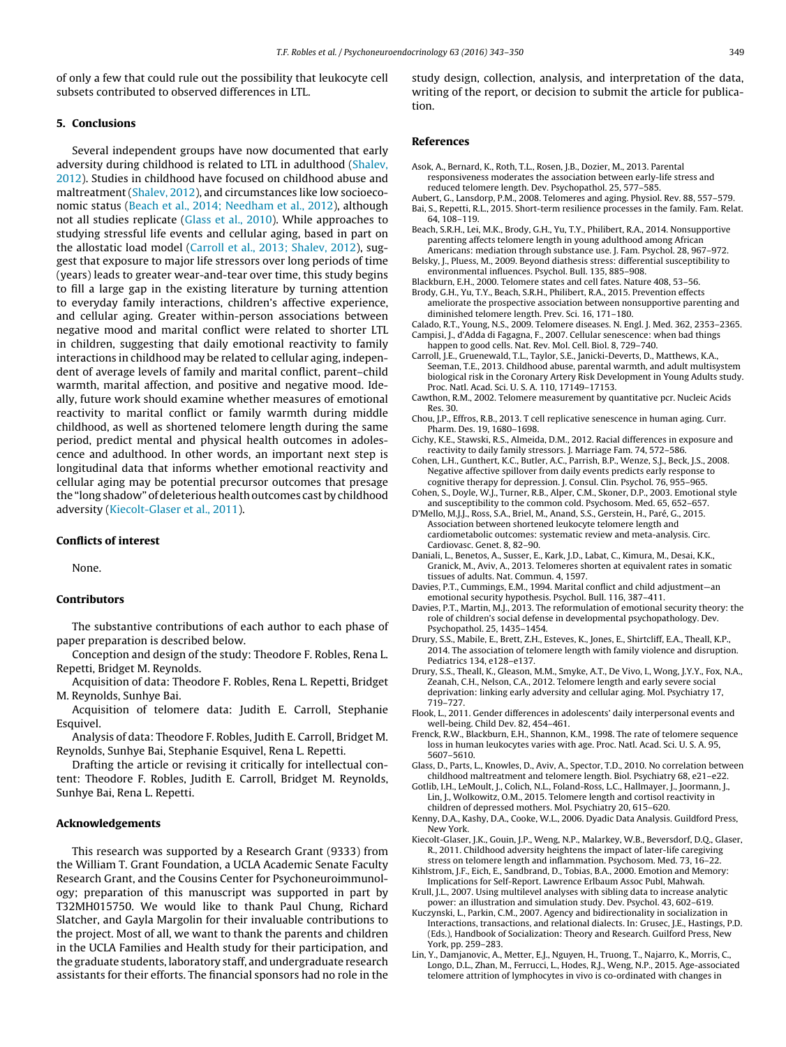of only a few that could rule out the possibility that leukocyte cell subsets contributed to observed differences in LTL.

# **5. Conclusions**

Several independent groups have now documented that early adversity during childhood is related to LTL in adulthood (Shalev, 2012). Studies in childhood have focused on childhood abuse and maltreatment (Shalev, 2012), and circumstances like low socioeconomic status (Beach et al., 2014; Needham et al., 2012), although not all studies replicate (Glass et al., 2010). While approaches to studying stressful life events and cellular aging, based in part on the allostatic load model (Carroll et al., 2013; Shalev, 2012), suggest that exposure to major life stressors over long periods of time (years) leads to greater wear-and-tear over time, this study begins to fill a large gap in the existing literature by turning attention to everyday family interactions, children's affective experience, and cellular aging. Greater within-person associations between negative mood and marital conflict were related to shorter LTL in children, suggesting that daily emotional reactivity to family interactions in childhood may be related to cellular aging, independent of average levels of family and marital conflict, parent–child warmth, marital affection, and positive and negative mood. Ideally, future work should examine whether measures of emotional reactivity to marital conflict or family warmth during middle childhood, as well as shortened telomere length during the same period, predict mental and physical health outcomes in adolescence and adulthood. In other words, an important next step is longitudinal data that informs whether emotional reactivity and cellular aging may be potential precursor outcomes that presage the "long shadow" of deleterious health outcomes cast by childhood adversity (Kiecolt-Glaser et al., 2011).

# **Conflicts of interest**

None.

# **Contributors**

The substantive contributions of each author to each phase of paper preparation is described below.

Conception and design of the study: Theodore F. Robles, Rena L. Repetti, Bridget M. Reynolds.

Acquisition of data: Theodore F. Robles, Rena L. Repetti, Bridget M. Reynolds, Sunhye Bai.

Acquisition of telomere data: Judith E. Carroll, Stephanie Esquivel.

Analysis of data: Theodore F. Robles, Judith E. Carroll, Bridget M. Reynolds, Sunhye Bai, Stephanie Esquivel, Rena L. Repetti.

Drafting the article or revising it critically for intellectual content: Theodore F. Robles, Judith E. Carroll, Bridget M. Reynolds, Sunhye Bai, Rena L. Repetti.

# **Acknowledgements**

This research was supported by a Research Grant (9333) from the William T. Grant Foundation, a UCLA Academic Senate Faculty Research Grant, and the Cousins Center for Psychoneuroimmunology; preparation of this manuscript was supported in part by T32MH015750. We would like to thank Paul Chung, Richard Slatcher, and Gayla Margolin for their invaluable contributions to the project. Most of all, we want to thank the parents and children in the UCLA Families and Health study for their participation, and the graduate students, laboratory staff, and undergraduate research assistants for their efforts. The financial sponsors had no role in the

study design, collection, analysis, and interpretation of the data, writing of the report, or decision to submit the article for publication.

#### **References**

- Asok, A., Bernard, K., Roth, T.L., Rosen, J.B., Dozier, M., 2013. Parental responsiveness moderates the association between early-life stress and
- reduced telomere length. Dev. Psychopathol. 25, 577–585. Aubert, G., Lansdorp, P.M., 2008. Telomeres and aging. Physiol. Rev. 88, 557–579.
- Bai, S., Repetti, R.L., 2015. Short-term resilience processes in the family. Fam. Relat. 64, 108–119.
- Beach, S.R.H., Lei, M.K., Brody, G.H., Yu, T.Y., Philibert, R.A., 2014. Nonsupportive parenting affects telomere length in young adulthood among African Americans: mediation through substance use. J. Fam. Psychol. 28, 967–972.
- Belsky, J., Pluess, M., 2009. Beyond diathesis stress: differential susceptibility to environmental influences. Psychol. Bull. 135, 885–908.
- Blackburn, E.H., 2000. Telomere states and cell fates. Nature 408, 53–56.
- Brody, G.H., Yu, T.Y., Beach, S.R.H., Philibert, R.A., 2015. Prevention effects ameliorate the prospective association between nonsupportive parenting and diminished telomere length. Prev. Sci. 16, 171–180.
- Calado, R.T., Young, N.S., 2009. Telomere diseases. N. Engl. J. Med. 362, 2353–2365. Campisi, J., d'Adda di Fagagna, F., 2007. Cellular senescence: when bad things happen to good cells. Nat. Rev. Mol. Cell. Biol. 8, 729–740.
- Carroll, J.E., Gruenewald, T.L., Taylor, S.E., Janicki-Deverts, D., Matthews, K.A., Seeman, T.E., 2013. Childhood abuse, parental warmth, and adult multisystem biological risk in the Coronary Artery Risk Development in Young Adults study. Proc. Natl. Acad. Sci. U. S. A. 110, 17149–17153.
- Cawthon, R.M., 2002. Telomere measurement by quantitative pcr. Nucleic Acids Res. 30.
- Chou, J.P., Effros, R.B., 2013. T cell replicative senescence in human aging. Curr. Pharm. Des. 19, 1680–1698.
- Cichy, K.E., Stawski, R.S., Almeida, D.M., 2012. Racial differences in exposure and reactivity to daily family stressors. J. Marriage Fam. 74, 572–586.
- Cohen, L.H., Gunthert, K.C., Butler, A.C., Parrish, B.P., Wenze, S.J., Beck, J.S., 2008. Negative affective spillover from daily events predicts early response to cognitive therapy for depression. J. Consul. Clin. Psychol. 76, 955–965.
- Cohen, S., Doyle, W.J., Turner, R.B., Alper, C.M., Skoner, D.P., 2003. Emotional style and susceptibility to the common cold. Psychosom. Med. 65, 652–657.

D'Mello, M.J.J., Ross, S.A., Briel, M., Anand, S.S., Gerstein, H., Paré, G., 2015. Association between shortened leukocyte telomere length and cardiometabolic outcomes: systematic review and meta-analysis. Circ. Cardiovasc. Genet. 8, 82–90.

- Daniali, L., Benetos, A., Susser, E., Kark, J.D., Labat, C., Kimura, M., Desai, K.K., Granick, M., Aviv, A., 2013. Telomeres shorten at equivalent rates in somatic tissues of adults. Nat. Commun. 4, 1597.
- Davies, P.T., Cummings, E.M., 1994. Marital conflict and child adjustment—an emotional security hypothesis. Psychol. Bull. 116, 387–411.
- Davies, P.T., Martin, M.J., 2013. The reformulation of emotional security theory: the role of children's social defense in developmental psychopathology. Dev. Psychopathol. 25, 1435–1454.
- Drury, S.S., Mabile, E., Brett, Z.H., Esteves, K., Jones, E., Shirtcliff, E.A., Theall, K.P., 2014. The association of telomere length with family violence and disruption. Pediatrics 134, e128–e137.
- Drury, S.S., Theall, K., Gleason, M.M., Smyke, A.T., De Vivo, I., Wong, J.Y.Y., Fox, N.A., Zeanah, C.H., Nelson, C.A., 2012. Telomere length and early severe social deprivation: linking early adversity and cellular aging. Mol. Psychiatry 17, 719–727.
- Flook, L., 2011. Gender differences in adolescents' daily interpersonal events and well-being. Child Dev. 82, 454–461.
- Frenck, R.W., Blackburn, E.H., Shannon, K.M., 1998. The rate of telomere sequence loss in human leukocytes varies with age. Proc. Natl. Acad. Sci. U. S. A. 95, 5607–5610.
- Glass, D., Parts, L., Knowles, D., Aviv, A., Spector, T.D., 2010. No correlation between childhood maltreatment and telomere length. Biol. Psychiatry 68, e21–e22.

Gotlib, I.H., LeMoult, J., Colich, N.L., Foland-Ross, L.C., Hallmayer, J., Joormann, J., Lin, J., Wolkowitz, O.M., 2015. Telomere length and cortisol reactivity in children of depressed mothers. Mol. Psychiatry 20, 615–620.

Kenny, D.A., Kashy, D.A., Cooke, W.L., 2006. Dyadic Data Analysis. Guildford Press, New York.

Kiecolt-Glaser, J.K., Gouin, J.P., Weng, N.P., Malarkey, W.B., Beversdorf, D.Q., Glaser, R., 2011. Childhood adversity heightens the impact of later-life caregiving stress on telomere length and inflammation. Psychosom. Med. 73, 16–22.

- Kihlstrom, J.F., Eich, E., Sandbrand, D., Tobias, B.A., 2000. Emotion and Memory: Implications for Self-Report. Lawrence Erlbaum Assoc Publ, Mahwah.
- Krull, J.L., 2007. Using multilevel analyses with sibling data to increase analytic power: an illustration and simulation study. Dev. Psychol. 43, 602–619.
- Kuczynski, L., Parkin, C.M., 2007. Agency and bidirectionality in socialization in Interactions, transactions, and relational dialects. In: Grusec, J.E., Hastings, P.D. (Eds.), Handbook of Socialization: Theory and Research. Guilford Press, New York, pp. 259–283.
- Lin, Y., Damjanovic, A., Metter, E.J., Nguyen, H., Truong, T., Najarro, K., Morris, C., Longo, D.L., Zhan, M., Ferrucci, L., Hodes, R.J., Weng, N.P., 2015. Age-associated telomere attrition of lymphocytes in vivo is co-ordinated with changes in